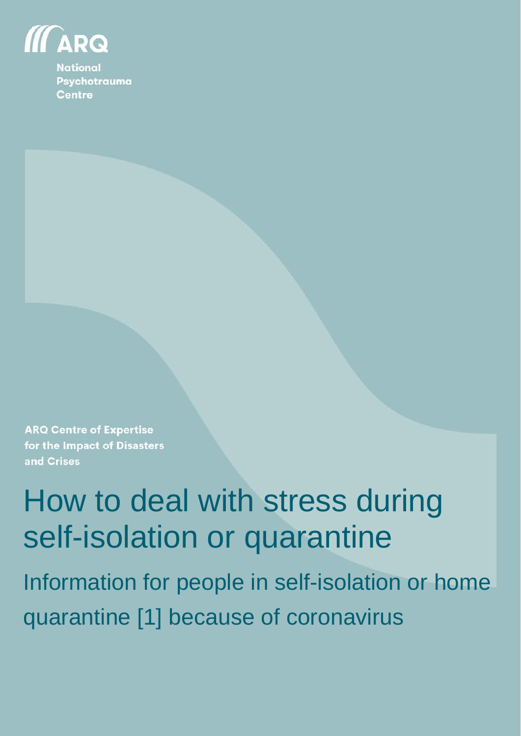

**National** Psychotrauma **Centre** 

**ARQ Centre of Expertise** for the Impact of Disasters and Crises

# How to deal with stress during self-isolation or quarantine

Information for people in self-isolation or home quarantine [1] because of coronavirus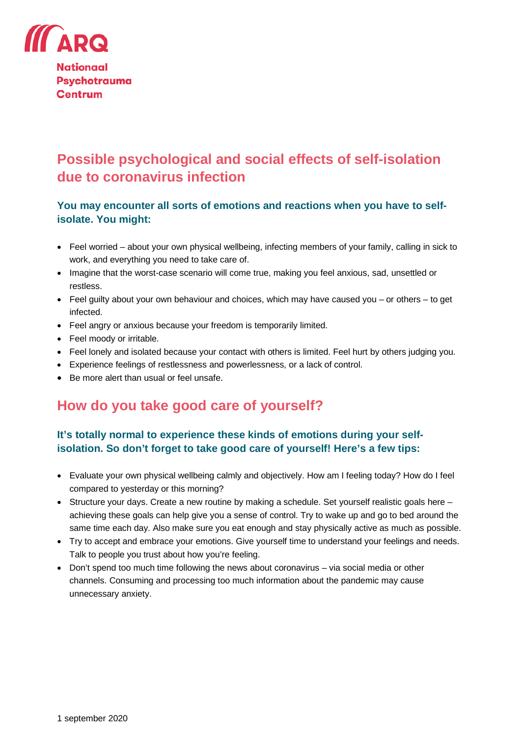

**Nationaal Psychotrauma Centrum** 

# **Possible psychological and social effects of self-isolation due to coronavirus infection**

## **You may encounter all sorts of emotions and reactions when you have to selfisolate. You might:**

- Feel worried about your own physical wellbeing, infecting members of your family, calling in sick to work, and everything you need to take care of.
- Imagine that the worst-case scenario will come true, making you feel anxious, sad, unsettled or restless.
- Feel guilty about your own behaviour and choices, which may have caused you or others to get infected.
- Feel angry or anxious because your freedom is temporarily limited.
- Feel moody or irritable.
- Feel lonely and isolated because your contact with others is limited. Feel hurt by others judging you.
- Experience feelings of restlessness and powerlessness, or a lack of control.
- Be more alert than usual or feel unsafe.

# **How do you take good care of yourself?**

## **It's totally normal to experience these kinds of emotions during your selfisolation. So don't forget to take good care of yourself! Here's a few tips:**

- Evaluate your own physical wellbeing calmly and objectively. How am I feeling today? How do I feel compared to yesterday or this morning?
- Structure your days. Create a new routine by making a schedule. Set yourself realistic goals here achieving these goals can help give you a sense of control. Try to wake up and go to bed around the same time each day. Also make sure you eat enough and stay physically active as much as possible.
- Try to accept and embrace your emotions. Give yourself time to understand your feelings and needs. Talk to people you trust about how you're feeling.
- Don't spend too much time following the news about coronavirus via social media or other channels. Consuming and processing too much information about the pandemic may cause unnecessary anxiety.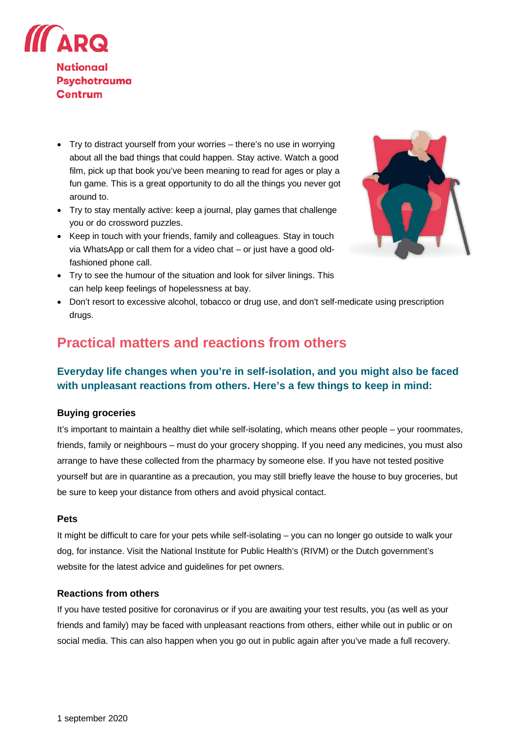

- Try to distract yourself from your worries there's no use in worrying about all the bad things that could happen. Stay active. Watch a good film, pick up that book you've been meaning to read for ages or play a fun game. This is a great opportunity to do all the things you never got around to.
- Try to stay mentally active: keep a journal, play games that challenge you or do crossword puzzles.
- Keep in touch with your friends, family and colleagues. Stay in touch via WhatsApp or call them for a video chat – or just have a good oldfashioned phone call.
- Try to see the humour of the situation and look for silver linings. This can help keep feelings of hopelessness at bay.
- Don't resort to excessive alcohol, tobacco or drug use, and don't self-medicate using prescription drugs.

# **Practical matters and reactions from others**

## **Everyday life changes when you're in self-isolation, and you might also be faced with unpleasant reactions from others. Here's a few things to keep in mind:**

#### **Buying groceries**

It's important to maintain a healthy diet while self-isolating, which means other people – your roommates, friends, family or neighbours – must do your grocery shopping. If you need any medicines, you must also arrange to have these collected from the pharmacy by someone else. If you have not tested positive yourself but are in quarantine as a precaution, you may still briefly leave the house to buy groceries, but be sure to keep your distance from others and avoid physical contact.

#### **Pets**

It might be difficult to care for your pets while self-isolating – you can no longer go outside to walk your dog, for instance. Visit the National Institute for Public Health's (RIVM) or the Dutch government's website for the latest advice and guidelines for pet owners.

#### **Reactions from others**

If you have tested positive for coronavirus or if you are awaiting your test results, you (as well as your friends and family) may be faced with unpleasant reactions from others, either while out in public or on social media. This can also happen when you go out in public again after you've made a full recovery.